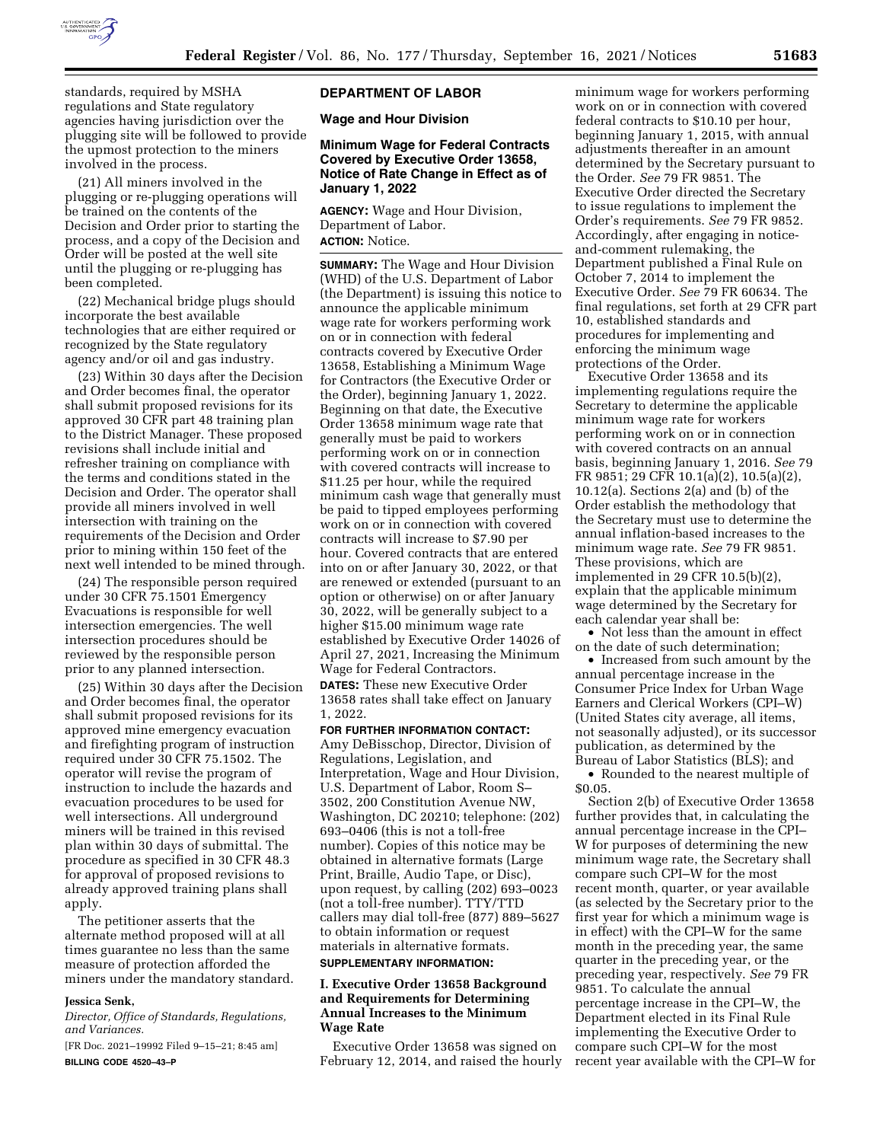

standards, required by MSHA regulations and State regulatory agencies having jurisdiction over the plugging site will be followed to provide the upmost protection to the miners involved in the process.

(21) All miners involved in the plugging or re-plugging operations will be trained on the contents of the Decision and Order prior to starting the process, and a copy of the Decision and Order will be posted at the well site until the plugging or re-plugging has been completed.

(22) Mechanical bridge plugs should incorporate the best available technologies that are either required or recognized by the State regulatory agency and/or oil and gas industry.

(23) Within 30 days after the Decision and Order becomes final, the operator shall submit proposed revisions for its approved 30 CFR part 48 training plan to the District Manager. These proposed revisions shall include initial and refresher training on compliance with the terms and conditions stated in the Decision and Order. The operator shall provide all miners involved in well intersection with training on the requirements of the Decision and Order prior to mining within 150 feet of the next well intended to be mined through.

(24) The responsible person required under 30 CFR 75.1501 Emergency Evacuations is responsible for well intersection emergencies. The well intersection procedures should be reviewed by the responsible person prior to any planned intersection.

(25) Within 30 days after the Decision and Order becomes final, the operator shall submit proposed revisions for its approved mine emergency evacuation and firefighting program of instruction required under 30 CFR 75.1502. The operator will revise the program of instruction to include the hazards and evacuation procedures to be used for well intersections. All underground miners will be trained in this revised plan within 30 days of submittal. The procedure as specified in 30 CFR 48.3 for approval of proposed revisions to already approved training plans shall apply.

The petitioner asserts that the alternate method proposed will at all times guarantee no less than the same measure of protection afforded the miners under the mandatory standard.

#### **Jessica Senk,**

*Director, Office of Standards, Regulations, and Variances.* 

[FR Doc. 2021–19992 Filed 9–15–21; 8:45 am] **BILLING CODE 4520–43–P** 

#### **DEPARTMENT OF LABOR**

**Wage and Hour Division** 

## **Minimum Wage for Federal Contracts Covered by Executive Order 13658, Notice of Rate Change in Effect as of January 1, 2022**

**AGENCY:** Wage and Hour Division, Department of Labor. **ACTION:** Notice.

**SUMMARY:** The Wage and Hour Division (WHD) of the U.S. Department of Labor (the Department) is issuing this notice to announce the applicable minimum wage rate for workers performing work on or in connection with federal contracts covered by Executive Order 13658, Establishing a Minimum Wage for Contractors (the Executive Order or the Order), beginning January 1, 2022. Beginning on that date, the Executive Order 13658 minimum wage rate that generally must be paid to workers performing work on or in connection with covered contracts will increase to \$11.25 per hour, while the required minimum cash wage that generally must be paid to tipped employees performing work on or in connection with covered contracts will increase to \$7.90 per hour. Covered contracts that are entered into on or after January 30, 2022, or that are renewed or extended (pursuant to an option or otherwise) on or after January 30, 2022, will be generally subject to a higher \$15.00 minimum wage rate established by Executive Order 14026 of April 27, 2021, Increasing the Minimum Wage for Federal Contractors.

**DATES:** These new Executive Order 13658 rates shall take effect on January 1, 2022.

**FOR FURTHER INFORMATION CONTACT:**  Amy DeBisschop, Director, Division of Regulations, Legislation, and Interpretation, Wage and Hour Division, U.S. Department of Labor, Room S– 3502, 200 Constitution Avenue NW, Washington, DC 20210; telephone: (202) 693–0406 (this is not a toll-free number). Copies of this notice may be obtained in alternative formats (Large Print, Braille, Audio Tape, or Disc), upon request, by calling (202) 693–0023 (not a toll-free number). TTY/TTD callers may dial toll-free (877) 889–5627 to obtain information or request materials in alternative formats.

# **SUPPLEMENTARY INFORMATION:**

#### **I. Executive Order 13658 Background and Requirements for Determining Annual Increases to the Minimum Wage Rate**

Executive Order 13658 was signed on February 12, 2014, and raised the hourly

minimum wage for workers performing work on or in connection with covered federal contracts to \$10.10 per hour, beginning January 1, 2015, with annual adjustments thereafter in an amount determined by the Secretary pursuant to the Order. *See* 79 FR 9851. The Executive Order directed the Secretary to issue regulations to implement the Order's requirements. *See* 79 FR 9852. Accordingly, after engaging in noticeand-comment rulemaking, the Department published a Final Rule on October 7, 2014 to implement the Executive Order. *See* 79 FR 60634. The final regulations, set forth at 29 CFR part 10, established standards and procedures for implementing and enforcing the minimum wage protections of the Order.

Executive Order 13658 and its implementing regulations require the Secretary to determine the applicable minimum wage rate for workers performing work on or in connection with covered contracts on an annual basis, beginning January 1, 2016. *See* 79 FR 9851; 29 CFR 10.1(a)(2), 10.5(a)(2), 10.12(a). Sections 2(a) and (b) of the Order establish the methodology that the Secretary must use to determine the annual inflation-based increases to the minimum wage rate. *See* 79 FR 9851. These provisions, which are implemented in 29 CFR 10.5(b)(2), explain that the applicable minimum wage determined by the Secretary for each calendar year shall be:

• Not less than the amount in effect on the date of such determination;

• Increased from such amount by the annual percentage increase in the Consumer Price Index for Urban Wage Earners and Clerical Workers (CPI–W) (United States city average, all items, not seasonally adjusted), or its successor publication, as determined by the Bureau of Labor Statistics (BLS); and

• Rounded to the nearest multiple of \$0.05.

Section 2(b) of Executive Order 13658 further provides that, in calculating the annual percentage increase in the CPI– W for purposes of determining the new minimum wage rate, the Secretary shall compare such CPI–W for the most recent month, quarter, or year available (as selected by the Secretary prior to the first year for which a minimum wage is in effect) with the CPI–W for the same month in the preceding year, the same quarter in the preceding year, or the preceding year, respectively. *See* 79 FR 9851. To calculate the annual percentage increase in the CPI–W, the Department elected in its Final Rule implementing the Executive Order to compare such CPI–W for the most recent year available with the CPI–W for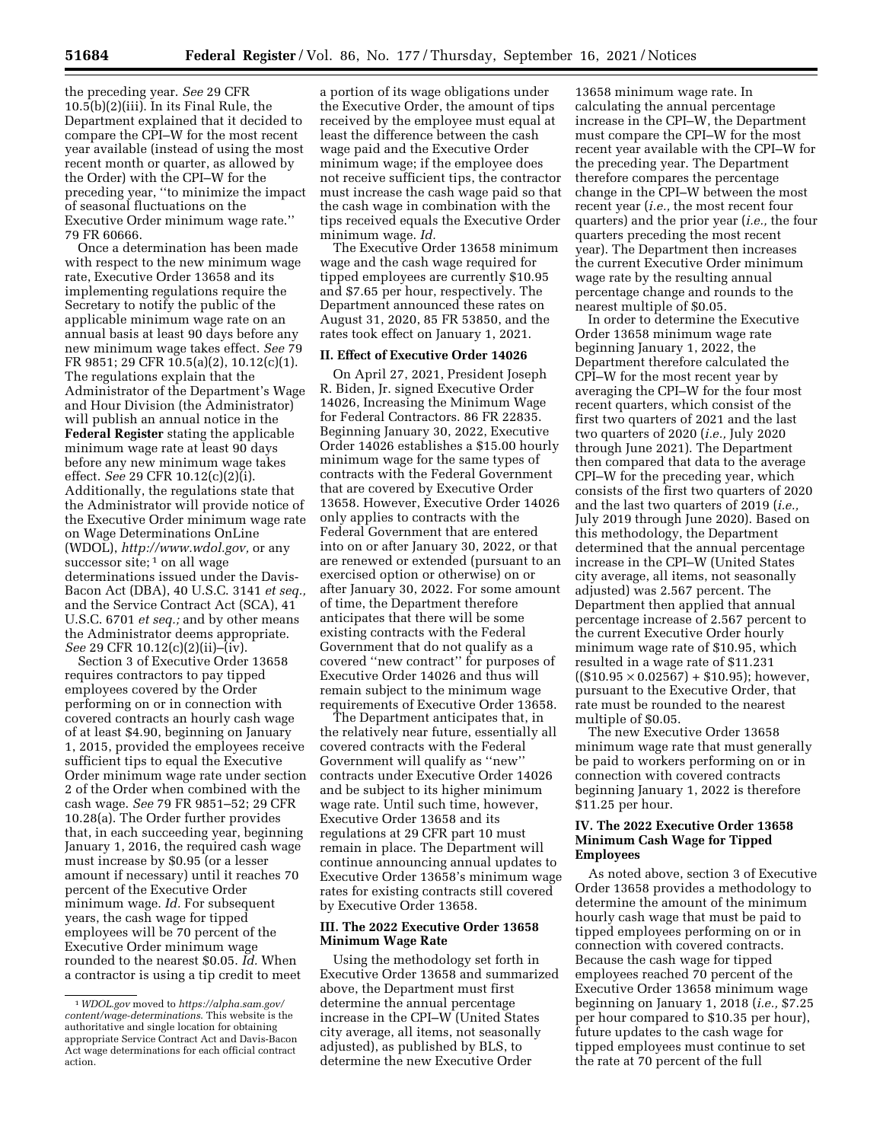the preceding year. *See* 29 CFR 10.5(b)(2)(iii). In its Final Rule, the Department explained that it decided to compare the CPI–W for the most recent year available (instead of using the most recent month or quarter, as allowed by the Order) with the CPI–W for the preceding year, ''to minimize the impact of seasonal fluctuations on the Executive Order minimum wage rate.'' 79 FR 60666.

Once a determination has been made with respect to the new minimum wage rate, Executive Order 13658 and its implementing regulations require the Secretary to notify the public of the applicable minimum wage rate on an annual basis at least 90 days before any new minimum wage takes effect. *See* 79 FR 9851; 29 CFR 10.5(a)(2), 10.12(c)(1). The regulations explain that the Administrator of the Department's Wage and Hour Division (the Administrator) will publish an annual notice in the **Federal Register** stating the applicable minimum wage rate at least 90 days before any new minimum wage takes effect. *See* 29 CFR 10.12(c)(2)(i). Additionally, the regulations state that the Administrator will provide notice of the Executive Order minimum wage rate on Wage Determinations OnLine (WDOL), *[http://www.wdol.gov,](http://www.wdol.gov)* or any successor site; <sup>1</sup> on all wage determinations issued under the Davis-Bacon Act (DBA), 40 U.S.C. 3141 *et seq.,*  and the Service Contract Act (SCA), 41 U.S.C. 6701 *et seq.;* and by other means the Administrator deems appropriate. *See* 29 CFR 10.12(c)(2)(ii)–(iv).

Section 3 of Executive Order 13658 requires contractors to pay tipped employees covered by the Order performing on or in connection with covered contracts an hourly cash wage of at least \$4.90, beginning on January 1, 2015, provided the employees receive sufficient tips to equal the Executive Order minimum wage rate under section 2 of the Order when combined with the cash wage. *See* 79 FR 9851–52; 29 CFR 10.28(a). The Order further provides that, in each succeeding year, beginning January 1, 2016, the required cash wage must increase by \$0.95 (or a lesser amount if necessary) until it reaches 70 percent of the Executive Order minimum wage. *Id.* For subsequent years, the cash wage for tipped employees will be 70 percent of the Executive Order minimum wage rounded to the nearest \$0.05. *Id.* When a contractor is using a tip credit to meet

a portion of its wage obligations under the Executive Order, the amount of tips received by the employee must equal at least the difference between the cash wage paid and the Executive Order minimum wage; if the employee does not receive sufficient tips, the contractor must increase the cash wage paid so that the cash wage in combination with the tips received equals the Executive Order minimum wage. *Id.* 

The Executive Order 13658 minimum wage and the cash wage required for tipped employees are currently \$10.95 and \$7.65 per hour, respectively. The Department announced these rates on August 31, 2020, 85 FR 53850, and the rates took effect on January 1, 2021.

#### **II. Effect of Executive Order 14026**

On April 27, 2021, President Joseph R. Biden, Jr. signed Executive Order 14026, Increasing the Minimum Wage for Federal Contractors. 86 FR 22835. Beginning January 30, 2022, Executive Order 14026 establishes a \$15.00 hourly minimum wage for the same types of contracts with the Federal Government that are covered by Executive Order 13658. However, Executive Order 14026 only applies to contracts with the Federal Government that are entered into on or after January 30, 2022, or that are renewed or extended (pursuant to an exercised option or otherwise) on or after January 30, 2022. For some amount of time, the Department therefore anticipates that there will be some existing contracts with the Federal Government that do not qualify as a covered ''new contract'' for purposes of Executive Order 14026 and thus will remain subject to the minimum wage requirements of Executive Order 13658.

The Department anticipates that, in the relatively near future, essentially all covered contracts with the Federal Government will qualify as ''new'' contracts under Executive Order 14026 and be subject to its higher minimum wage rate. Until such time, however, Executive Order 13658 and its regulations at 29 CFR part 10 must remain in place. The Department will continue announcing annual updates to Executive Order 13658's minimum wage rates for existing contracts still covered by Executive Order 13658.

### **III. The 2022 Executive Order 13658 Minimum Wage Rate**

Using the methodology set forth in Executive Order 13658 and summarized above, the Department must first determine the annual percentage increase in the CPI–W (United States city average, all items, not seasonally adjusted), as published by BLS, to determine the new Executive Order

13658 minimum wage rate. In calculating the annual percentage increase in the CPI–W, the Department must compare the CPI–W for the most recent year available with the CPI–W for the preceding year. The Department therefore compares the percentage change in the CPI–W between the most recent year (*i.e.,* the most recent four quarters) and the prior year (*i.e.,* the four quarters preceding the most recent year). The Department then increases the current Executive Order minimum wage rate by the resulting annual percentage change and rounds to the nearest multiple of \$0.05.

In order to determine the Executive Order 13658 minimum wage rate beginning January 1, 2022, the Department therefore calculated the CPI–W for the most recent year by averaging the CPI–W for the four most recent quarters, which consist of the first two quarters of 2021 and the last two quarters of 2020 (*i.e.,* July 2020 through June 2021). The Department then compared that data to the average CPI–W for the preceding year, which consists of the first two quarters of 2020 and the last two quarters of 2019 (*i.e.,*  July 2019 through June 2020). Based on this methodology, the Department determined that the annual percentage increase in the CPI–W (United States city average, all items, not seasonally adjusted) was 2.567 percent. The Department then applied that annual percentage increase of 2.567 percent to the current Executive Order hourly minimum wage rate of \$10.95, which resulted in a wage rate of \$11.231  $((\$10.95 \times 0.02567) + \$10.95)$ ; however, pursuant to the Executive Order, that rate must be rounded to the nearest multiple of \$0.05.

The new Executive Order 13658 minimum wage rate that must generally be paid to workers performing on or in connection with covered contracts beginning January 1, 2022 is therefore \$11.25 per hour.

### **IV. The 2022 Executive Order 13658 Minimum Cash Wage for Tipped Employees**

As noted above, section 3 of Executive Order 13658 provides a methodology to determine the amount of the minimum hourly cash wage that must be paid to tipped employees performing on or in connection with covered contracts. Because the cash wage for tipped employees reached 70 percent of the Executive Order 13658 minimum wage beginning on January 1, 2018 (*i.e.,* \$7.25 per hour compared to \$10.35 per hour), future updates to the cash wage for tipped employees must continue to set the rate at 70 percent of the full

<sup>1</sup>*WDOL.gov* moved to *[https://alpha.sam.gov/](https://alpha.sam.gov/content/wage-determinations) [content/wage-determinations](https://alpha.sam.gov/content/wage-determinations)*. This website is the authoritative and single location for obtaining appropriate Service Contract Act and Davis-Bacon Act wage determinations for each official contract action.